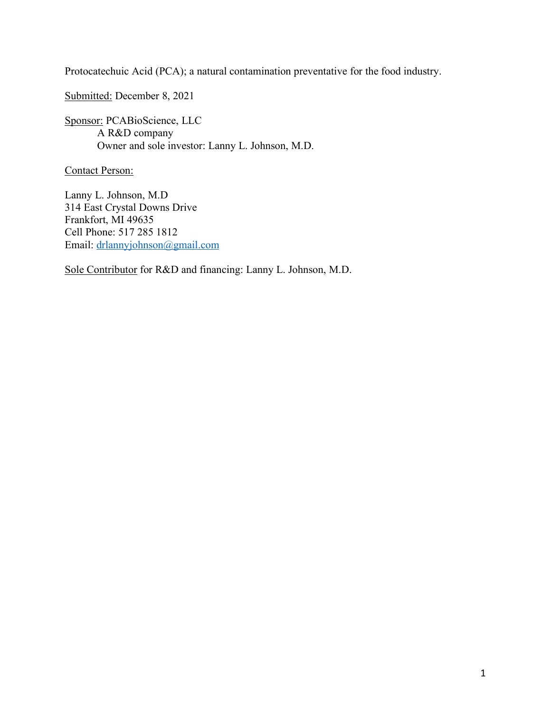Protocatechuic Acid (PCA); a natural contamination preventative for the food industry.

Submitted: December 8, 2021

Sponsor: PCABioScience, LLC A R&D company Owner and sole investor: Lanny L. Johnson, M.D.

Contact Person:

Lanny L. Johnson, M.D 314 East Crystal Downs Drive Frankfort, MI 49635 Cell Phone: 517 285 1812 Email: [drlannyjohnson@gmail.com](mailto:drlannyjohnson@gmail.com)

Sole Contributor for R&D and financing: Lanny L. Johnson, M.D.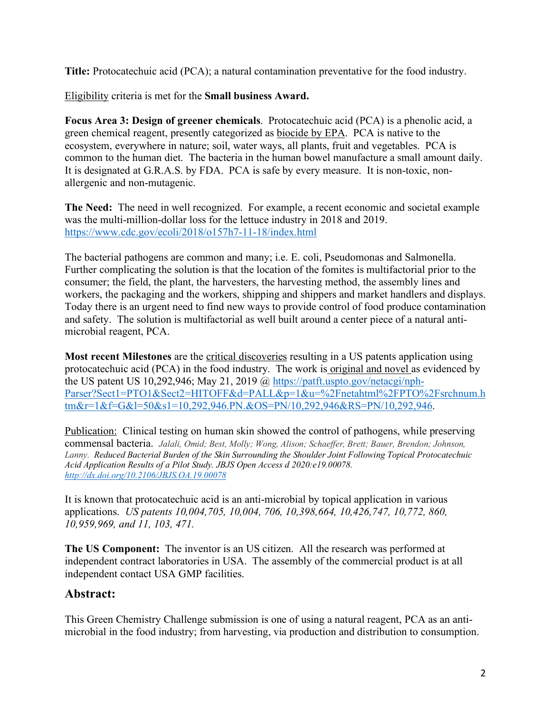**Title:** Protocatechuic acid (PCA); a natural contamination preventative for the food industry.

Eligibility criteria is met for the **Small business Award.** 

**Focus Area 3: Design of greener chemicals**. Protocatechuic acid (PCA) is a phenolic acid, a green chemical reagent, presently categorized as biocide by EPA. PCA is native to the ecosystem, everywhere in nature; soil, water ways, all plants, fruit and vegetables. PCA is common to the human diet. The bacteria in the human bowel manufacture a small amount daily. It is designated at G.R.A.S. by FDA. PCA is safe by every measure. It is non-toxic, nonallergenic and non-mutagenic.

**The Need:** The need in well recognized. For example, a recent economic and societal example was the multi-million-dollar loss for the lettuce industry in 2018 and 2019. <https://www.cdc.gov/ecoli/2018/o157h7-11-18/index.html>

The bacterial pathogens are common and many; i.e. E. coli, Pseudomonas and Salmonella. Further complicating the solution is that the location of the fomites is multifactorial prior to the consumer; the field, the plant, the harvesters, the harvesting method, the assembly lines and workers, the packaging and the workers, shipping and shippers and market handlers and displays. Today there is an urgent need to find new ways to provide control of food produce contamination and safety. The solution is multifactorial as well built around a center piece of a natural antimicrobial reagent, PCA.

**Most recent Milestones** are the critical discoveries resulting in a US patents application using protocatechuic acid (PCA) in the food industry. The work is original and novel as evidenced by the US patent US 10,292,946; May 21, 2019 @ [https://patft.uspto.gov/netacgi/nph-](https://patft.uspto.gov/netacgi/nph-Parser?Sect1=PTO1&Sect2=HITOFF&d=PALL&p=1&u=%2Fnetahtml%2FPTO%2Fsrchnum.htm&r=1&f=G&l=50&s1=10,292,946.PN.&OS=PN/10,292,946&RS=PN/10,292,946)[Parser?Sect1=PTO1&Sect2=HITOFF&d=PALL&p=1&u=%2Fnetahtml%2FPTO%2Fsrchnum.](https://patft.uspto.gov/netacgi/nph-Parser?Sect1=PTO1&Sect2=HITOFF&d=PALL&p=1&u=%2Fnetahtml%2FPTO%2Fsrchnum.htm&r=1&f=G&l=50&s1=10,292,946.PN.&OS=PN/10,292,946&RS=PN/10,292,946)h [tm&r=1&f=G&l=50&s1=10,292,946.PN.&OS=PN/10,292,946&RS=PN/10,292,946.](https://patft.uspto.gov/netacgi/nph-Parser?Sect1=PTO1&Sect2=HITOFF&d=PALL&p=1&u=%2Fnetahtml%2FPTO%2Fsrchnum.htm&r=1&f=G&l=50&s1=10,292,946.PN.&OS=PN/10,292,946&RS=PN/10,292,946)

Publication: Clinical testing on human skin showed the control of pathogens, while preserving commensal bacteria. *Jalali, Omid; Best, Molly; Wong, Alison; Schaeffer, Brett; Bauer, Brendon; Johnson, Lanny. Reduced Bacterial Burden of the Skin Surrounding the Shoulder Joint Following Topical Protocatechuic Acid Application Results of a Pilot Study. JBJS Open Access d 2020:e19.00078. <http://dx.doi.org/10.2106/JBJS.OA.19.00078>*

It is known that protocatechuic acid is an anti-microbial by topical application in various applications. *US patents 10,004,705, 10,004, 706, 10,398,664, 10,426,747, 10,772, 860, 10,959,969, and 11, 103, 471.* 

**The US Component:** The inventor is an US citizen. All the research was performed at independent contract laboratories in USA. The assembly of the commercial product is at all independent contact USA GMP facilities.

## **Abstract:**

This Green Chemistry Challenge submission is one of using a natural reagent, PCA as an antimicrobial in the food industry; from harvesting, via production and distribution to consumption.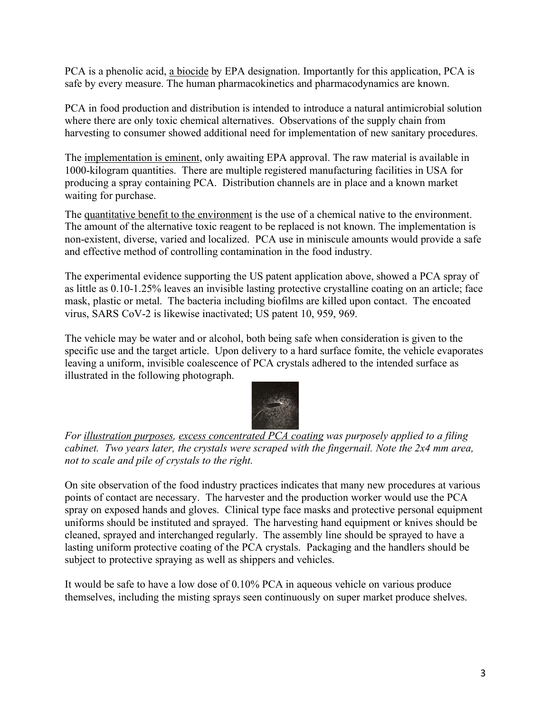PCA is a phenolic acid, a biocide by EPA designation. Importantly for this application, PCA is safe by every measure. The human pharmacokinetics and pharmacodynamics are known.

PCA in food production and distribution is intended to introduce a natural antimicrobial solution where there are only toxic chemical alternatives. Observations of the supply chain from harvesting to consumer showed additional need for implementation of new sanitary procedures.

The implementation is eminent, only awaiting EPA approval. The raw material is available in 1000-kilogram quantities. There are multiple registered manufacturing facilities in USA for producing a spray containing PCA. Distribution channels are in place and a known market waiting for purchase.

The quantitative benefit to the environment is the use of a chemical native to the environment. The amount of the alternative toxic reagent to be replaced is not known. The implementation is non-existent, diverse, varied and localized. PCA use in miniscule amounts would provide a safe and effective method of controlling contamination in the food industry.

The experimental evidence supporting the US patent application above, showed a PCA spray of as little as 0.10-1.25% leaves an invisible lasting protective crystalline coating on an article; face mask, plastic or metal. The bacteria including biofilms are killed upon contact. The encoated virus, SARS CoV-2 is likewise inactivated; US patent 10, 959, 969.

The vehicle may be water and or alcohol, both being safe when consideration is given to the specific use and the target article. Upon delivery to a hard surface fomite, the vehicle evaporates leaving a uniform, invisible coalescence of PCA crystals adhered to the intended surface as illustrated in the following photograph.



*For illustration purposes, excess concentrated PCA coating was purposely applied to a filing cabinet. Two years later, the crystals were scraped with the fingernail. Note the 2x4 mm area, not to scale and pile of crystals to the right.*

On site observation of the food industry practices indicates that many new procedures at various points of contact are necessary. The harvester and the production worker would use the PCA spray on exposed hands and gloves. Clinical type face masks and protective personal equipment uniforms should be instituted and sprayed. The harvesting hand equipment or knives should be cleaned, sprayed and interchanged regularly. The assembly line should be sprayed to have a lasting uniform protective coating of the PCA crystals. Packaging and the handlers should be subject to protective spraying as well as shippers and vehicles.

It would be safe to have a low dose of 0.10% PCA in aqueous vehicle on various produce themselves, including the misting sprays seen continuously on super market produce shelves.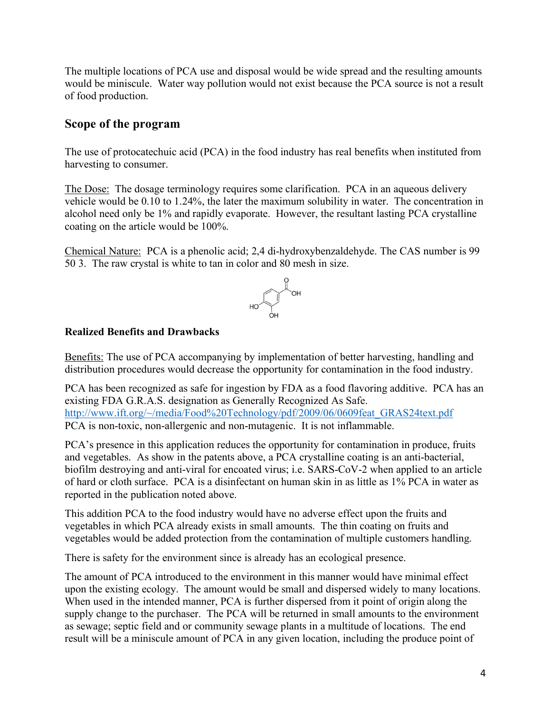The multiple locations of PCA use and disposal would be wide spread and the resulting amounts would be miniscule. Water way pollution would not exist because the PCA source is not a result of food production.

## **Scope of the program**

The use of protocatechuic acid (PCA) in the food industry has real benefits when instituted from harvesting to consumer.

The Dose: The dosage terminology requires some clarification. PCA in an aqueous delivery vehicle would be 0.10 to 1.24%, the later the maximum solubility in water. The concentration in alcohol need only be 1% and rapidly evaporate. However, the resultant lasting PCA crystalline coating on the article would be 100%.

Chemical Nature: PCA is a phenolic acid; 2,4 di-hydroxybenzaldehyde. The CAS number is 99 50 3. The raw crystal is white to tan in color and 80 mesh in size.



## **Realized Benefits and Drawbacks**

Benefits: The use of PCA accompanying by implementation of better harvesting, handling and distribution procedures would decrease the opportunity for contamination in the food industry.

PCA has been recognized as safe for ingestion by FDA as a food flavoring additive. PCA has an existing FDA G.R.A.S. designation as Generally Recognized As Safe. [http://www.ift.org/~/media/Food%20Technology/pdf/2009/06/0609feat\\_GRAS24text.pdf](http://www.ift.org/~/media/Food Technology/pdf/2009/06/0609feat_GRAS24text.pdf) PCA is non-toxic, non-allergenic and non-mutagenic. It is not inflammable.

PCA's presence in this application reduces the opportunity for contamination in produce, fruits and vegetables. As show in the patents above, a PCA crystalline coating is an anti-bacterial, biofilm destroying and anti-viral for encoated virus; i.e. SARS-CoV-2 when applied to an article of hard or cloth surface. PCA is a disinfectant on human skin in as little as 1% PCA in water as reported in the publication noted above.

This addition PCA to the food industry would have no adverse effect upon the fruits and vegetables in which PCA already exists in small amounts. The thin coating on fruits and vegetables would be added protection from the contamination of multiple customers handling.

There is safety for the environment since is already has an ecological presence.

The amount of PCA introduced to the environment in this manner would have minimal effect upon the existing ecology. The amount would be small and dispersed widely to many locations. When used in the intended manner, PCA is further dispersed from it point of origin along the supply change to the purchaser. The PCA will be returned in small amounts to the environment as sewage; septic field and or community sewage plants in a multitude of locations. The end result will be a miniscule amount of PCA in any given location, including the produce point of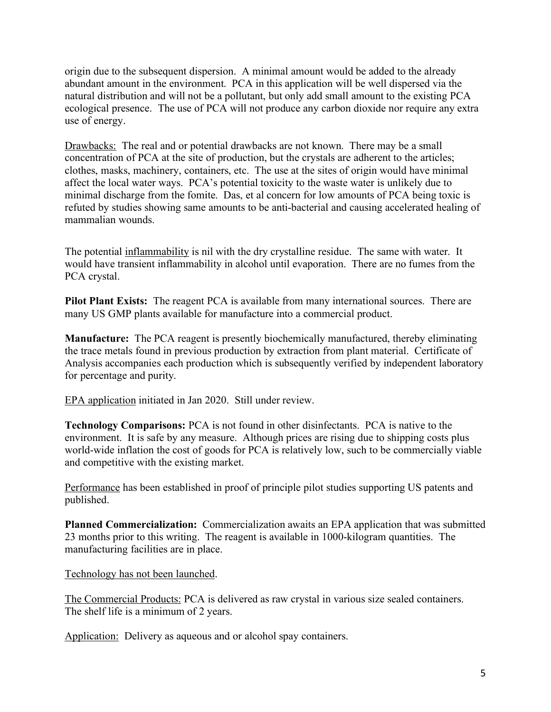origin due to the subsequent dispersion. A minimal amount would be added to the already abundant amount in the environment. PCA in this application will be well dispersed via the natural distribution and will not be a pollutant, but only add small amount to the existing PCA ecological presence. The use of PCA will not produce any carbon dioxide nor require any extra use of energy.

Drawbacks: The real and or potential drawbacks are not known. There may be a small concentration of PCA at the site of production, but the crystals are adherent to the articles; clothes, masks, machinery, containers, etc. The use at the sites of origin would have minimal affect the local water ways. PCA's potential toxicity to the waste water is unlikely due to minimal discharge from the fomite. Das, et al concern for low amounts of PCA being toxic is refuted by studies showing same amounts to be anti-bacterial and causing accelerated healing of mammalian wounds.

The potential inflammability is nil with the dry crystalline residue. The same with water. It would have transient inflammability in alcohol until evaporation. There are no fumes from the PCA crystal.

**Pilot Plant Exists:** The reagent PCA is available from many international sources. There are many US GMP plants available for manufacture into a commercial product.

**Manufacture:** The PCA reagent is presently biochemically manufactured, thereby eliminating the trace metals found in previous production by extraction from plant material. Certificate of Analysis accompanies each production which is subsequently verified by independent laboratory for percentage and purity.

EPA application initiated in Jan 2020. Still under review.

**Technology Comparisons:** PCA is not found in other disinfectants. PCA is native to the environment. It is safe by any measure. Although prices are rising due to shipping costs plus world-wide inflation the cost of goods for PCA is relatively low, such to be commercially viable and competitive with the existing market.

Performance has been established in proof of principle pilot studies supporting US patents and published.

**Planned Commercialization:** Commercialization awaits an EPA application that was submitted 23 months prior to this writing. The reagent is available in 1000-kilogram quantities. The manufacturing facilities are in place.

Technology has not been launched.

The Commercial Products: PCA is delivered as raw crystal in various size sealed containers. The shelf life is a minimum of 2 years.

Application: Delivery as aqueous and or alcohol spay containers.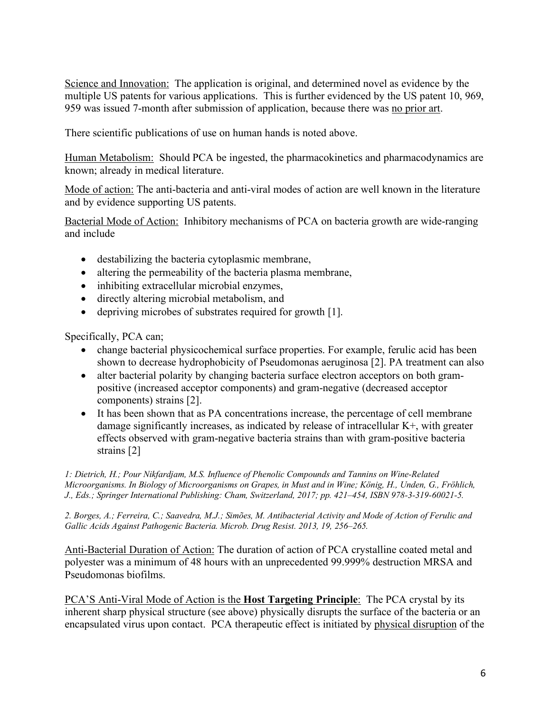Science and Innovation: The application is original, and determined novel as evidence by the multiple US patents for various applications. This is further evidenced by the US patent 10, 969, 959 was issued 7-month after submission of application, because there was no prior art.

There scientific publications of use on human hands is noted above.

Human Metabolism: Should PCA be ingested, the pharmacokinetics and pharmacodynamics are known; already in medical literature.

Mode of action: The anti-bacteria and anti-viral modes of action are well known in the literature and by evidence supporting US patents.

Bacterial Mode of Action: Inhibitory mechanisms of PCA on bacteria growth are wide-ranging and include

- destabilizing the bacteria cytoplasmic membrane,
- altering the permeability of the bacteria plasma membrane,
- inhibiting extracellular microbial enzymes,
- directly altering microbial metabolism, and
- depriving microbes of substrates required for growth [1].

Specifically, PCA can;

- change bacterial physicochemical surface properties. For example, ferulic acid has been shown to decrease hydrophobicity of Pseudomonas aeruginosa [2]. PA treatment can also
- alter bacterial polarity by changing bacteria surface electron acceptors on both grampositive (increased acceptor components) and gram-negative (decreased acceptor components) strains [2].
- It has been shown that as PA concentrations increase, the percentage of cell membrane damage significantly increases, as indicated by release of intracellular K+, with greater effects observed with gram-negative bacteria strains than with gram-positive bacteria strains [2]

*1: Dietrich, H.; Pour Nikfardjam, M.S. Influence of Phenolic Compounds and Tannins on Wine-Related Microorganisms. In Biology of Microorganisms on Grapes, in Must and in Wine; König, H., Unden, G., Fröhlich, J., Eds.; Springer International Publishing: Cham, Switzerland, 2017; pp. 421–454, ISBN 978-3-319-60021-5.* 

*2. Borges, A.; Ferreira, C.; Saavedra, M.J.; Simões, M. Antibacterial Activity and Mode of Action of Ferulic and Gallic Acids Against Pathogenic Bacteria. Microb. Drug Resist. 2013, 19, 256–265.* 

Anti-Bacterial Duration of Action: The duration of action of PCA crystalline coated metal and polyester was a minimum of 48 hours with an unprecedented 99.999% destruction MRSA and Pseudomonas biofilms.

PCA'S Anti-Viral Mode of Action is the **Host Targeting Principle**:The PCA crystal by its inherent sharp physical structure (see above) physically disrupts the surface of the bacteria or an encapsulated virus upon contact. PCA therapeutic effect is initiated by physical disruption of the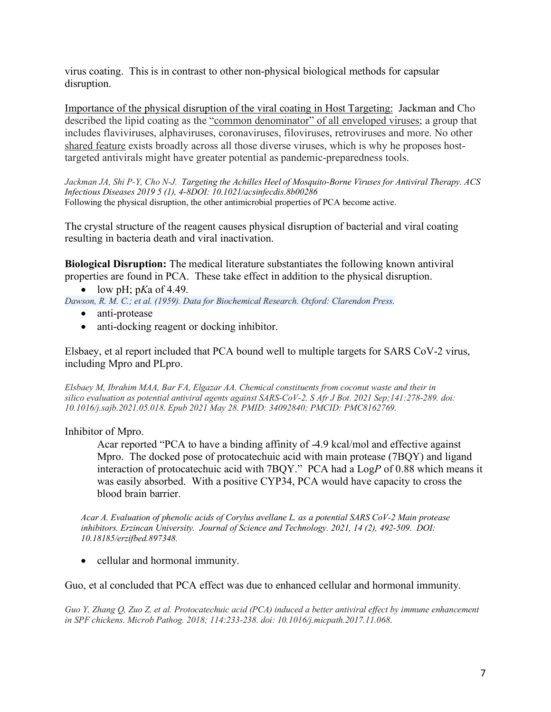virus coating. This is in contrast to other non-physical biological methods for capsular disruption.

Importance of the physical disruption of the viral coating in Host Targeting: Jackman and Cho described the lipid coating as the "common denominator" of all enveloped viruses; a group that includes flaviviruses, alphaviruses, coronaviruses, filoviruses, retroviruses and more. No other shared feature exists broadly across all those diverse viruses, which is why he proposes hosttargeted antivirals might have greater potential as pandemic-preparedness tools.

*Jackman JA, Shi P-Y, Cho N-J. Targeting the Achilles Heel of Mosquito-Borne Viruses for Antiviral Therapy. ACS Infectious Diseases 2019 5 (1), 4-8DOI: 10.1021/acsinfecdis.8b00286* Following the physical disruption, the other antimicrobial properties of PCA become active.

The crystal structure of the reagent causes physical disruption of bacterial and viral coating resulting in bacteria death and viral inactivation.

**Biological Disruption:** The medical literature substantiates the following known antiviral properties are found in PCA. These take effect in addition to the physical disruption.

• low pH;  $pKa$  of 4.49.

*Dawson, R. M. C.; et al. (1959). Data for Biochemical Research. Oxford: Clarendon Press.*

- anti-protease
- anti-docking reagent or docking inhibitor.

Elsbaey, et al report included that PCA bound well to multiple targets for SARS CoV-2 virus, including Mpro and PLpro.

*Elsbaey M, Ibrahim MAA, Bar FA, Elgazar AA. Chemical constituents from coconut waste and their in silico evaluation as potential antiviral agents against SARS-CoV-2. S Afr J Bot. 2021 Sep;141:278-289. doi: 10.1016/j.sajb.2021.05.018. Epub 2021 May 28. PMID: 34092840; PMCID: PMC8162769.*

## Inhibitor of Mpro.

Acar reported "PCA to have a binding affinity of -4.9 kcal/mol and effective against Mpro. The docked pose of protocatechuic acid with main protease (7BQY) and ligand interaction of protocatechuic acid with 7BQY." PCA had a Log*P* of 0.88 which means it was easily absorbed. With a positive CYP34, PCA would have capacity to cross the blood brain barrier.

*Acar A. Evaluation of phenolic acids of Corylus avellane L. as a potential SARS CoV-2 Main protease inhibitors. Erzincan University. Journal of Science and Technology. 2021, 14 (2), 492-509. DOI: 10.18185/erzifbed.897348.*

• cellular and hormonal immunity.

Guo, et al concluded that PCA effect was due to enhanced cellular and hormonal immunity.

*Guo Y, Zhang Q, Zuo Z, et al. Protocatechuic acid (PCA) induced a better antiviral effect by immune enhancement in SPF chickens. Microb Pathog. 2018; 114:233-238. doi: 10.1016/j.micpath.2017.11.068*.